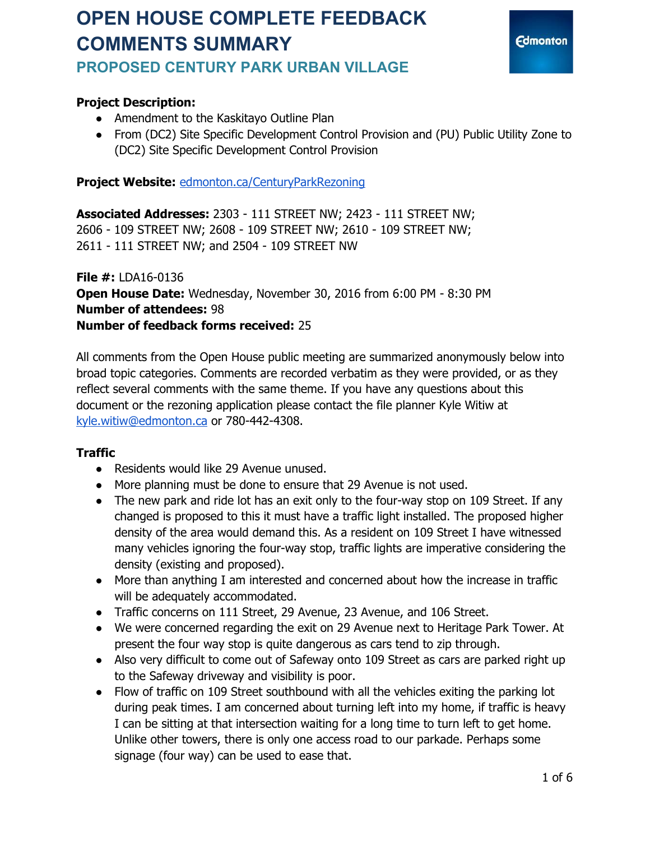## **OPEN HOUSE COMPLETE FEEDBACK COMMENTS SUMMARY PROPOSED CENTURY PARK URBAN VILLAGE**



#### **Project Description:**

- Amendment to the Kaskitayo Outline Plan
- From (DC2) Site Specific Development Control Provision and (PU) Public Utility Zone to (DC2) Site Specific Development Control Provision

Project Website: [edmonton.ca/CenturyParkRezoning](http://edmonton.ca/CenturyParkRezoning)

**Associated Addresses:** 2303 - 111 STREET NW; 2423 - 111 STREET NW; 2606 - 109 STREET NW; 2608 - 109 STREET NW; 2610 - 109 STREET NW; 2611 - 111 STREET NW; and 2504 - 109 STREET NW

**File #:** LDA16-0136 **Open House Date:** Wednesday, November 30, 2016 from 6:00 PM - 8:30 PM **Number of attendees:** 98 **Number of feedback forms received:** 25

All comments from the Open House public meeting are summarized anonymously below into broad topic categories. Comments are recorded verbatim as they were provided, or as they reflect several comments with the same theme. If you have any questions about this document or the rezoning application please contact the file planner Kyle Witiw at [kyle.witiw@edmonton.ca](mailto:kyle.witiw@edmonton.ca) or 780-442-4308.

#### **Traffic**

- Residents would like 29 Avenue unused.
- More planning must be done to ensure that 29 Avenue is not used.
- The new park and ride lot has an exit only to the four-way stop on 109 Street. If any changed is proposed to this it must have a traffic light installed. The proposed higher density of the area would demand this. As a resident on 109 Street I have witnessed many vehicles ignoring the four-way stop, traffic lights are imperative considering the density (existing and proposed).
- More than anything I am interested and concerned about how the increase in traffic will be adequately accommodated.
- Traffic concerns on 111 Street, 29 Avenue, 23 Avenue, and 106 Street.
- We were concerned regarding the exit on 29 Avenue next to Heritage Park Tower. At present the four way stop is quite dangerous as cars tend to zip through.
- Also very difficult to come out of Safeway onto 109 Street as cars are parked right up to the Safeway driveway and visibility is poor.
- Flow of traffic on 109 Street southbound with all the vehicles exiting the parking lot during peak times. I am concerned about turning left into my home, if traffic is heavy I can be sitting at that intersection waiting for a long time to turn left to get home. Unlike other towers, there is only one access road to our parkade. Perhaps some signage (four way) can be used to ease that.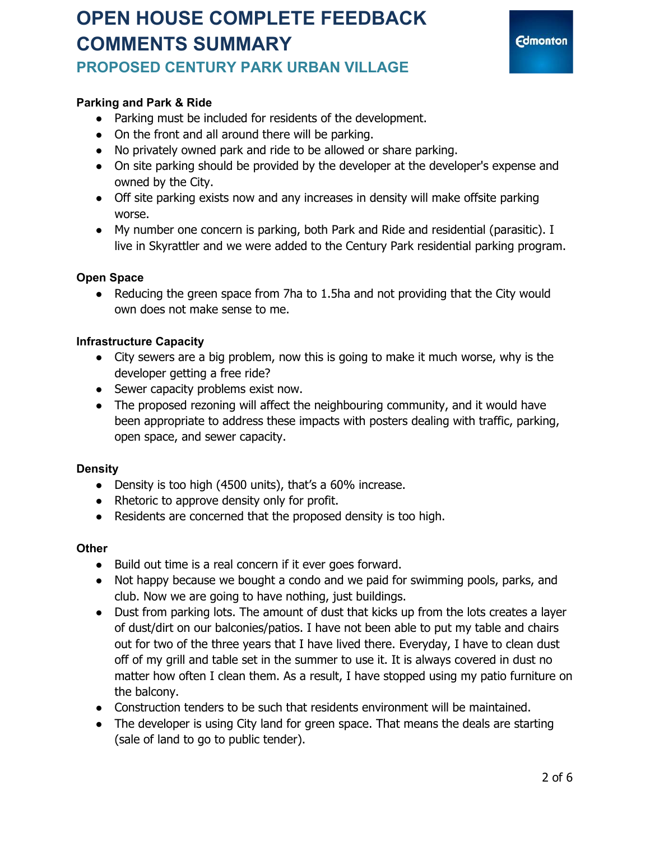## **OPEN HOUSE COMPLETE FEEDBACK COMMENTS SUMMARY PROPOSED CENTURY PARK URBAN VILLAGE**



#### **Parking and Park & Ride**

- Parking must be included for residents of the development.
- On the front and all around there will be parking.
- No privately owned park and ride to be allowed or share parking.
- On site parking should be provided by the developer at the developer's expense and owned by the City.
- Off site parking exists now and any increases in density will make offsite parking worse.
- My number one concern is parking, both Park and Ride and residential (parasitic). I live in Skyrattler and we were added to the Century Park residential parking program.

#### **Open Space**

● Reducing the green space from 7ha to 1.5ha and not providing that the City would own does not make sense to me.

#### **Infrastructure Capacity**

- City sewers are a big problem, now this is going to make it much worse, why is the developer getting a free ride?
- Sewer capacity problems exist now.
- The proposed rezoning will affect the neighbouring community, and it would have been appropriate to address these impacts with posters dealing with traffic, parking, open space, and sewer capacity.

#### **Density**

- Density is too high (4500 units), that's a 60% increase.
- Rhetoric to approve density only for profit.
- Residents are concerned that the proposed density is too high.

#### **Other**

- Build out time is a real concern if it ever goes forward.
- Not happy because we bought a condo and we paid for swimming pools, parks, and club. Now we are going to have nothing, just buildings.
- Dust from parking lots. The amount of dust that kicks up from the lots creates a layer of dust/dirt on our balconies/patios. I have not been able to put my table and chairs out for two of the three years that I have lived there. Everyday, I have to clean dust off of my grill and table set in the summer to use it. It is always covered in dust no matter how often I clean them. As a result, I have stopped using my patio furniture on the balcony.
- Construction tenders to be such that residents environment will be maintained.
- The developer is using City land for green space. That means the deals are starting (sale of land to go to public tender).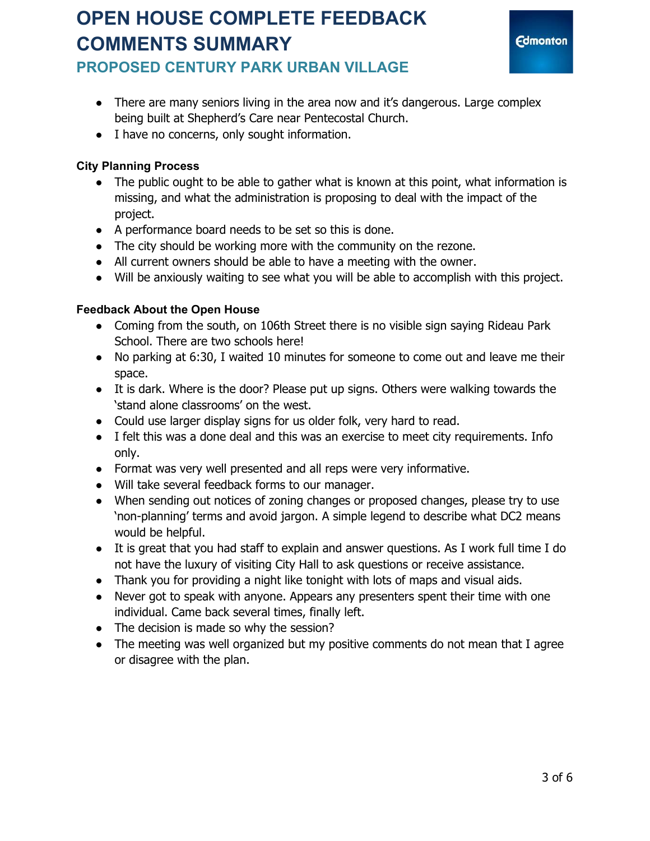

### **PROPOSED CENTURY PARK URBAN VILLAGE**

- There are many seniors living in the area now and it's dangerous. Large complex being built at Shepherd's Care near Pentecostal Church.
- I have no concerns, only sought information.

#### **City Planning Process**

- The public ought to be able to gather what is known at this point, what information is missing, and what the administration is proposing to deal with the impact of the project.
- A performance board needs to be set so this is done.
- The city should be working more with the community on the rezone.
- All current owners should be able to have a meeting with the owner.
- Will be anxiously waiting to see what you will be able to accomplish with this project.

#### **Feedback About the Open House**

- Coming from the south, on 106th Street there is no visible sign saying Rideau Park School. There are two schools here!
- No parking at 6:30, I waited 10 minutes for someone to come out and leave me their space.
- It is dark. Where is the door? Please put up signs. Others were walking towards the 'stand alone classrooms' on the west.
- Could use larger display signs for us older folk, very hard to read.
- I felt this was a done deal and this was an exercise to meet city requirements. Info only.
- Format was very well presented and all reps were very informative.
- Will take several feedback forms to our manager.
- When sending out notices of zoning changes or proposed changes, please try to use 'non-planning' terms and avoid jargon. A simple legend to describe what DC2 means would be helpful.
- It is great that you had staff to explain and answer questions. As I work full time I do not have the luxury of visiting City Hall to ask questions or receive assistance.
- Thank you for providing a night like tonight with lots of maps and visual aids.
- Never got to speak with anyone. Appears any presenters spent their time with one individual. Came back several times, finally left.
- The decision is made so why the session?
- The meeting was well organized but my positive comments do not mean that I agree or disagree with the plan.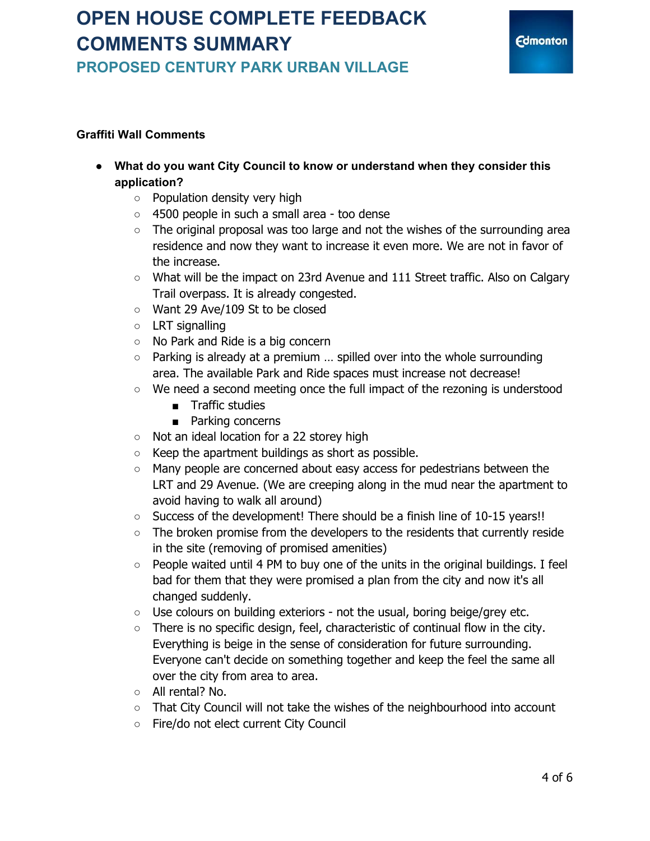### **PROPOSED CENTURY PARK URBAN VILLAGE**

#### **Graffiti Wall Comments**

- **● What do you want City Council to know or understand when they consider this application?**
	- **○** Population density very high
	- **○** 4500 people in such a small area too dense
	- **○** The original proposal was too large and not the wishes of the surrounding area residence and now they want to increase it even more. We are not in favor of the increase.
	- **○** What will be the impact on 23rd Avenue and 111 Street traffic. Also on Calgary Trail overpass. It is already congested.
	- Want 29 Ave/109 St to be closed
	- LRT signalling
	- **○** No Park and Ride is a big concern
	- **○** Parking is already at a premium … spilled over into the whole surrounding area. The available Park and Ride spaces must increase not decrease!
	- **○** We need a second meeting once the full impact of the rezoning is understood
		- **■** Traffic studies
		- **■** Parking concerns
	- **○** Not an ideal location for a 22 storey high
	- **○** Keep the apartment buildings as short as possible.
	- **○** Many people are concerned about easy access for pedestrians between the LRT and 29 Avenue. (We are creeping along in the mud near the apartment to avoid having to walk all around)
	- **○** Success of the development! There should be a finish line of 10-15 years!!
	- **○** The broken promise from the developers to the residents that currently reside in the site (removing of promised amenities)
	- **○** People waited until 4 PM to buy one of the units in the original buildings. I feel bad for them that they were promised a plan from the city and now it's all changed suddenly.
	- **○** Use colours on building exteriors not the usual, boring beige/grey etc.
	- **○** There is no specific design, feel, characteristic of continual flow in the city. Everything is beige in the sense of consideration for future surrounding. Everyone can't decide on something together and keep the feel the same all over the city from area to area.
	- **○** All rental? No.
	- **○** That City Council will not take the wishes of the neighbourhood into account
	- **○** Fire/do not elect current City Council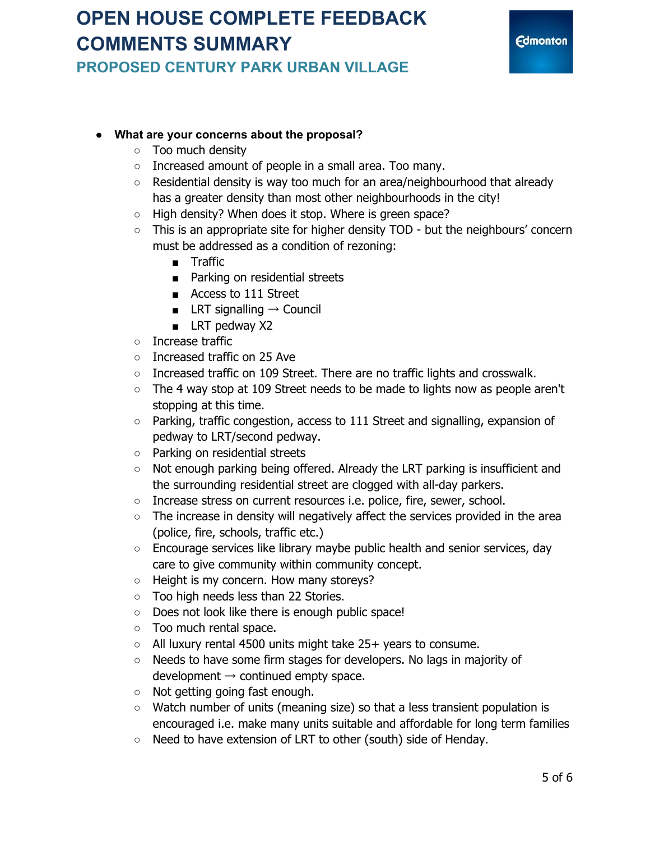**PROPOSED CENTURY PARK URBAN VILLAGE**



#### **● What are your concerns about the proposal?**

- **○** Too much density
- Increased amount of people in a small area. Too many.
- Residential density is way too much for an area/neighbourhood that already has a greater density than most other neighbourhoods in the city!
- High density? When does it stop. Where is green space?
- This is an appropriate site for higher density TOD but the neighbours' concern must be addressed as a condition of rezoning:
	- Traffic
	- Parking on residential streets
	- Access to 111 Street
	- LRT signalling  $\rightarrow$  Council
	- LRT pedway X2
- Increase traffic
- Increased traffic on 25 Ave
- Increased traffic on 109 Street. There are no traffic lights and crosswalk.
- The 4 way stop at 109 Street needs to be made to lights now as people aren't stopping at this time.
- Parking, traffic congestion, access to 111 Street and signalling, expansion of pedway to LRT/second pedway.
- Parking on residential streets
- Not enough parking being offered. Already the LRT parking is insufficient and the surrounding residential street are clogged with all-day parkers.
- Increase stress on current resources i.e. police, fire, sewer, school.
- The increase in density will negatively affect the services provided in the area (police, fire, schools, traffic etc.)
- Encourage services like library maybe public health and senior services, day care to give community within community concept.
- Height is my concern. How many storeys?
- Too high needs less than 22 Stories.
- Does not look like there is enough public space!
- Too much rental space.
- All luxury rental 4500 units might take 25+ years to consume.
- Needs to have some firm stages for developers. No lags in majority of development  $\rightarrow$  continued empty space.
- Not getting going fast enough.
- Watch number of units (meaning size) so that a less transient population is encouraged i.e. make many units suitable and affordable for long term families
- Need to have extension of LRT to other (south) side of Henday.